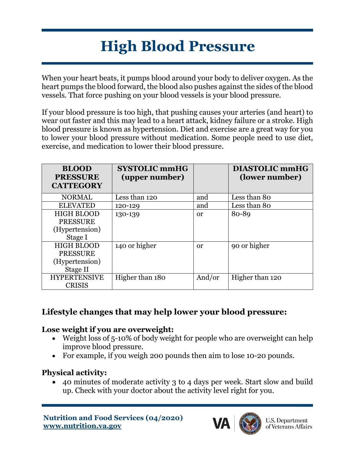# **High Blood Pressure**

When your heart beats, it pumps blood around your body to deliver oxygen. As the heart pumps the blood forward, the blood also pushes against the sides of the blood vessels. That force pushing on your blood vessels is your blood pressure.

If your blood pressure is too high, that pushing causes your arteries (and heart) to wear out faster and this may lead to a heart attack, kidney failure or a stroke. High blood pressure is known as hypertension. Diet and exercise are a great way for you to lower your blood pressure without medication. Some people need to use diet, exercise, and medication to lower their blood pressure.

| <b>BLOOD</b><br><b>PRESSURE</b><br><b>CATTEGORY</b> | <b>SYSTOLIC mmHG</b><br>(upper number) |               | <b>DIASTOLIC mmHG</b><br>(lower number) |
|-----------------------------------------------------|----------------------------------------|---------------|-----------------------------------------|
| <b>NORMAL</b>                                       | Less than 120                          | and           | Less than 80                            |
| <b>ELEVATED</b>                                     | 120-129                                | and           | Less than 80                            |
| <b>HIGH BLOOD</b>                                   | 130-139                                | 0r            | 80-89                                   |
| <b>PRESSURE</b>                                     |                                        |               |                                         |
| (Hypertension)                                      |                                        |               |                                         |
| Stage I                                             |                                        |               |                                         |
| <b>HIGH BLOOD</b>                                   | 140 or higher                          | <sub>or</sub> | 90 or higher                            |
| <b>PRESSURE</b>                                     |                                        |               |                                         |
| (Hypertension)                                      |                                        |               |                                         |
| Stage II                                            |                                        |               |                                         |
| <b>HYPERTENSIVE</b>                                 | Higher than 180                        | And/or        | Higher than 120                         |
| <b>CRISIS</b>                                       |                                        |               |                                         |

# **Lifestyle changes that may help lower your blood pressure:**

#### **Lose weight if you are overweight:**

- Weight loss of 5-10% of body weight for people who are overweight can help improve blood pressure.
- For example, if you weigh 200 pounds then aim to lose 10-20 pounds.

#### **Physical activity:**

• 40 minutes of moderate activity 3 to 4 days per week. Start slow and build up. Check with your doctor about the activity level right for you.

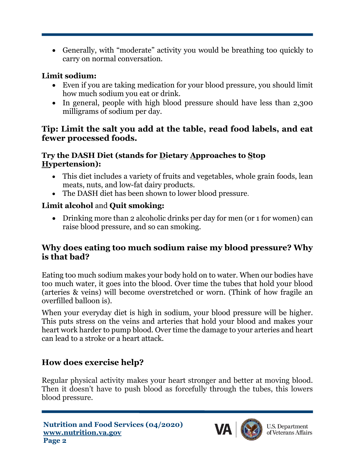• Generally, with "moderate" activity you would be breathing too quickly to carry on normal conversation.

#### **Limit sodium:**

- Even if you are taking medication for your blood pressure, you should limit how much sodium you eat or drink.
- In general, people with high blood pressure should have less than 2,300 milligrams of sodium per day.

#### **Tip: Limit the salt you add at the table, read food labels, and eat fewer processed foods.**

#### **Try the DASH Diet (stands for Dietary Approaches to Stop Hypertension):**

- This diet includes a variety of fruits and vegetables, whole grain foods, lean meats, nuts, and low-fat dairy products.
- The DASH diet has been shown to lower blood pressure.

## **Limit alcohol** and **Quit smoking:**

• Drinking more than 2 alcoholic drinks per day for men (or 1 for women) can raise blood pressure, and so can smoking.

### **Why does eating too much sodium raise my blood pressure? Why is that bad?**

Eating too much sodium makes your body hold on to water. When our bodies have too much water, it goes into the blood. Over time the tubes that hold your blood (arteries & veins) will become overstretched or worn. (Think of how fragile an overfilled balloon is).

When your everyday diet is high in sodium, your blood pressure will be higher. This puts stress on the veins and arteries that hold your blood and makes your heart work harder to pump blood. Over time the damage to your arteries and heart can lead to a stroke or a heart attack.

# **How does exercise help?**

Regular physical activity makes your heart stronger and better at moving blood. Then it doesn't have to push blood as forcefully through the tubes, this lowers blood pressure.



**U.S. Department** of Veterans Affairs